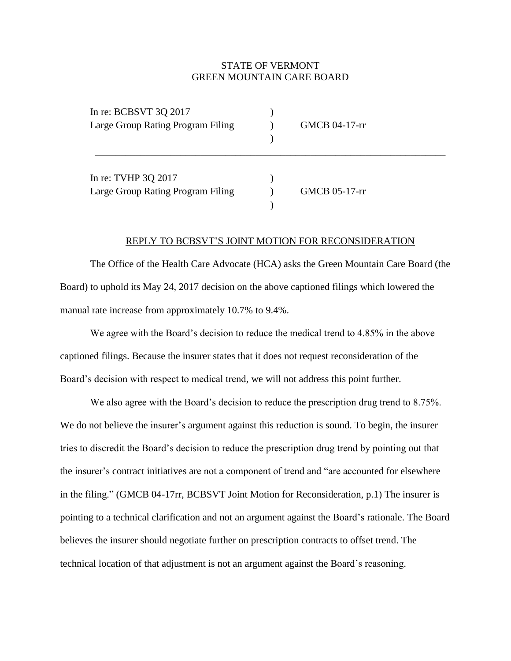## STATE OF VERMONT GREEN MOUNTAIN CARE BOARD

| In re: BCBSVT 3Q 2017<br>Large Group Rating Program Filing | GMCB 04-17-rr |  |
|------------------------------------------------------------|---------------|--|
| In re: TVHP 3Q 2017<br>Large Group Rating Program Filing   | GMCB 05-17-rr |  |

## REPLY TO BCBSVT'S JOINT MOTION FOR RECONSIDERATION

The Office of the Health Care Advocate (HCA) asks the Green Mountain Care Board (the Board) to uphold its May 24, 2017 decision on the above captioned filings which lowered the manual rate increase from approximately 10.7% to 9.4%.

We agree with the Board's decision to reduce the medical trend to 4.85% in the above captioned filings. Because the insurer states that it does not request reconsideration of the Board's decision with respect to medical trend, we will not address this point further.

We also agree with the Board's decision to reduce the prescription drug trend to 8.75%. We do not believe the insurer's argument against this reduction is sound. To begin, the insurer tries to discredit the Board's decision to reduce the prescription drug trend by pointing out that the insurer's contract initiatives are not a component of trend and "are accounted for elsewhere in the filing." (GMCB 04-17rr, BCBSVT Joint Motion for Reconsideration, p.1) The insurer is pointing to a technical clarification and not an argument against the Board's rationale. The Board believes the insurer should negotiate further on prescription contracts to offset trend. The technical location of that adjustment is not an argument against the Board's reasoning.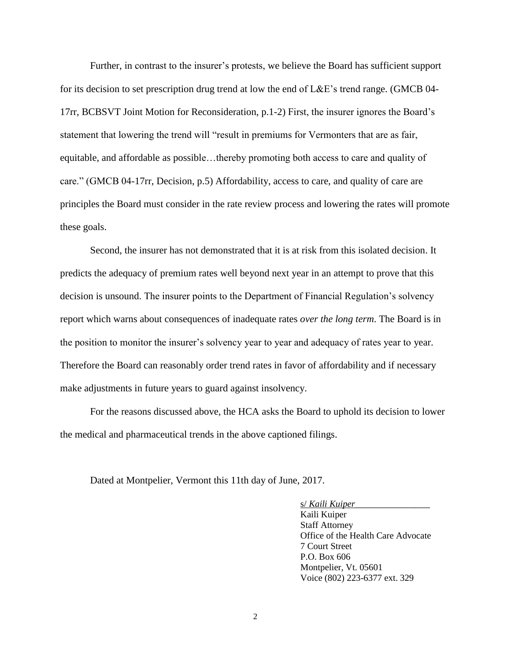Further, in contrast to the insurer's protests, we believe the Board has sufficient support for its decision to set prescription drug trend at low the end of L&E's trend range. (GMCB 04- 17rr, BCBSVT Joint Motion for Reconsideration, p.1-2) First, the insurer ignores the Board's statement that lowering the trend will "result in premiums for Vermonters that are as fair, equitable, and affordable as possible…thereby promoting both access to care and quality of care." (GMCB 04-17rr, Decision, p.5) Affordability, access to care, and quality of care are principles the Board must consider in the rate review process and lowering the rates will promote these goals.

Second, the insurer has not demonstrated that it is at risk from this isolated decision. It predicts the adequacy of premium rates well beyond next year in an attempt to prove that this decision is unsound. The insurer points to the Department of Financial Regulation's solvency report which warns about consequences of inadequate rates *over the long term*. The Board is in the position to monitor the insurer's solvency year to year and adequacy of rates year to year. Therefore the Board can reasonably order trend rates in favor of affordability and if necessary make adjustments in future years to guard against insolvency.

For the reasons discussed above, the HCA asks the Board to uphold its decision to lower the medical and pharmaceutical trends in the above captioned filings.

Dated at Montpelier, Vermont this 11th day of June, 2017.

s/ *Kaili Kuiper*\_\_\_\_\_\_\_\_\_\_\_\_\_\_\_ Kaili Kuiper Staff Attorney Office of the Health Care Advocate 7 Court Street P.O. Box 606 Montpelier, Vt. 05601 Voice (802) 223-6377 ext. 329